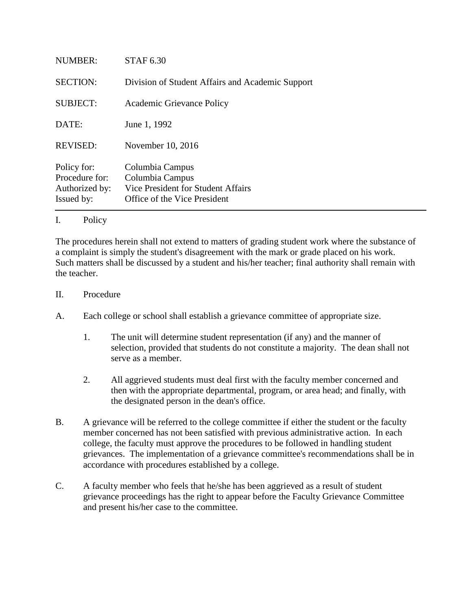| NUMBER:                                                       | <b>STAF 6.30</b>                                                                                         |
|---------------------------------------------------------------|----------------------------------------------------------------------------------------------------------|
| <b>SECTION:</b>                                               | Division of Student Affairs and Academic Support                                                         |
| <b>SUBJECT:</b>                                               | Academic Grievance Policy                                                                                |
| DATE:                                                         | June 1, 1992                                                                                             |
| <b>REVISED:</b>                                               | November 10, 2016                                                                                        |
| Policy for:<br>Procedure for:<br>Authorized by:<br>Issued by: | Columbia Campus<br>Columbia Campus<br>Vice President for Student Affairs<br>Office of the Vice President |
|                                                               |                                                                                                          |

## I. Policy

The procedures herein shall not extend to matters of grading student work where the substance of a complaint is simply the student's disagreement with the mark or grade placed on his work. Such matters shall be discussed by a student and his/her teacher; final authority shall remain with the teacher.

- II. Procedure
- A. Each college or school shall establish a grievance committee of appropriate size.
	- 1. The unit will determine student representation (if any) and the manner of selection, provided that students do not constitute a majority. The dean shall not serve as a member.
	- 2. All aggrieved students must deal first with the faculty member concerned and then with the appropriate departmental, program, or area head; and finally, with the designated person in the dean's office.
- B. A grievance will be referred to the college committee if either the student or the faculty member concerned has not been satisfied with previous administrative action. In each college, the faculty must approve the procedures to be followed in handling student grievances. The implementation of a grievance committee's recommendations shall be in accordance with procedures established by a college.
- C. A faculty member who feels that he/she has been aggrieved as a result of student grievance proceedings has the right to appear before the Faculty Grievance Committee and present his/her case to the committee.